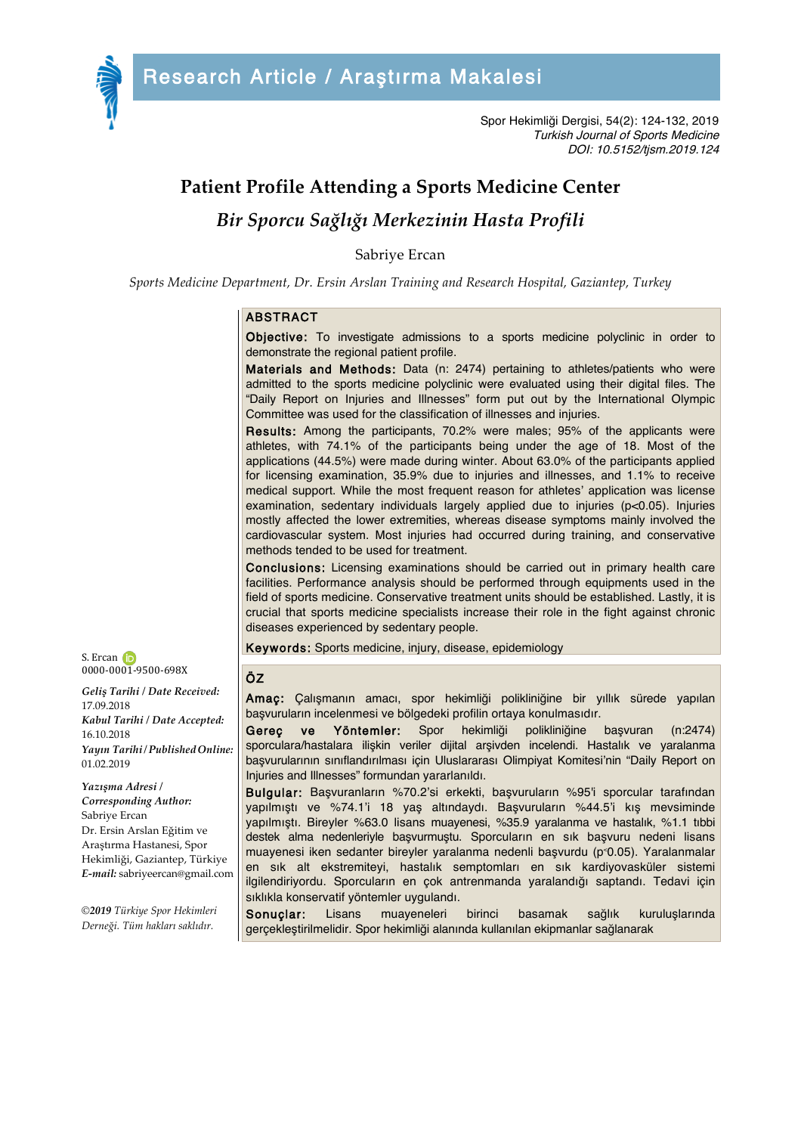

Spor Hekimliği Dergisi, 54(2): 124-132, 2019 Turkish Journal of Sports Medicine DOI: 10.5152/tjsm.2019.124

# **Patient Profile Attending a Sports Medicine Center**

*Bir Sporcu Sağlığı Merkezinin Hasta Profili*

Sabriye Ercan

*Sports Medicine Department, Dr. Ersin Arslan Training and Research Hospital, Gaziantep, Turkey*

#### ABSTRACT

Objective: To investigate admissions to a sports medicine polyclinic in order to demonstrate the regional patient profile.

Materials and Methods: Data (n: 2474) pertaining to athletes/patients who were admitted to the sports medicine polyclinic were evaluated using their digital files. The "Daily Report on Injuries and Illnesses" form put out by the International Olympic Committee was used for the classification of illnesses and injuries.

Results: Among the participants, 70.2% were males; 95% of the applicants were athletes, with 74.1% of the participants being under the age of 18. Most of the applications (44.5%) were made during winter. About 63.0% of the participants applied for licensing examination, 35.9% due to injuries and illnesses, and 1.1% to receive medical support. While the most frequent reason for athletes' application was license examination, sedentary individuals largely applied due to injuries (p<0.05). Injuries mostly affected the lower extremities, whereas disease symptoms mainly involved the cardiovascular system. Most injuries had occurred during training, and conservative methods tended to be used for treatment.

Conclusions: Licensing examinations should be carried out in primary health care facilities. Performance analysis should be performed through equipments used in the field of sports medicine. Conservative treatment units should be established. Lastly, it is crucial that sports medicine specialists increase their role in the fight against chronic diseases experienced by sedentary people.

Keywords: Sports medicine, injury, disease, epidemiology

#### ÖZ

Amaç: Çalışmanın amacı, spor hekimliği polikliniğine bir yıllık sürede yapılan başvuruların incelenmesi ve bölgedeki profilin ortaya konulmasıdır.

Gereç ve Yöntemler: Spor hekimliği polikliniğine başvuran (n:2474) sporculara/hastalara ilişkin veriler dijital arşivden incelendi. Hastalık ve yaralanma başvurularının sınıflandırılması için Uluslararası Olimpiyat Komitesi'nin "Daily Report on Injuries and Illnesses" formundan yararlanıldı.

Bulgular: Başvuranların %70.2'si erkekti, başvuruların %95'i sporcular tarafından yapılmıştı ve %74.1'i 18 yaş altındaydı. Başvuruların %44.5'i kış mevsiminde yapılmıştı. Bireyler %63.0 lisans muayenesi, %35.9 yaralanma ve hastalık, %1.1 tıbbi destek alma nedenleriyle başvurmuştu. Sporcuların en sık başvuru nedeni lisans muayenesi iken sedanter bireyler yaralanma nedenli başvurdu (p˂0.05). Yaralanmalar en sık alt ekstremiteyi, hastalık semptomları en sık kardiyovasküler sistemi ilgilendiriyordu. Sporcuların en çok antrenmanda yaralandığı saptandı. Tedavi için sıklıkla konservatif yöntemler uygulandı.

Sonuçlar: Lisans muayeneleri birinci basamak sağlık kuruluşlarında gerçekleştirilmelidir. Spor hekimliği alanında kullanılan ekipmanlar sağlanarak



*Geliş Tarihi / Date Received:* 17.09.2018 *Kabul Tarihi / Date Accepted:* 16.10.2018 *Yayın Tarihi/PublishedOnline:* 01.02.2019

*Yazışma Adresi / Corresponding Author:* Sabriye Ercan Dr. Ersin Arslan Eğitim ve Araştırma Hastanesi, Spor Hekimliği, Gaziantep, Türkiye *E-mail:* sabriyeercan@gmail.com

*©2019 Türkiye Spor Hekimleri Derneği. Tüm hakları saklıdır.*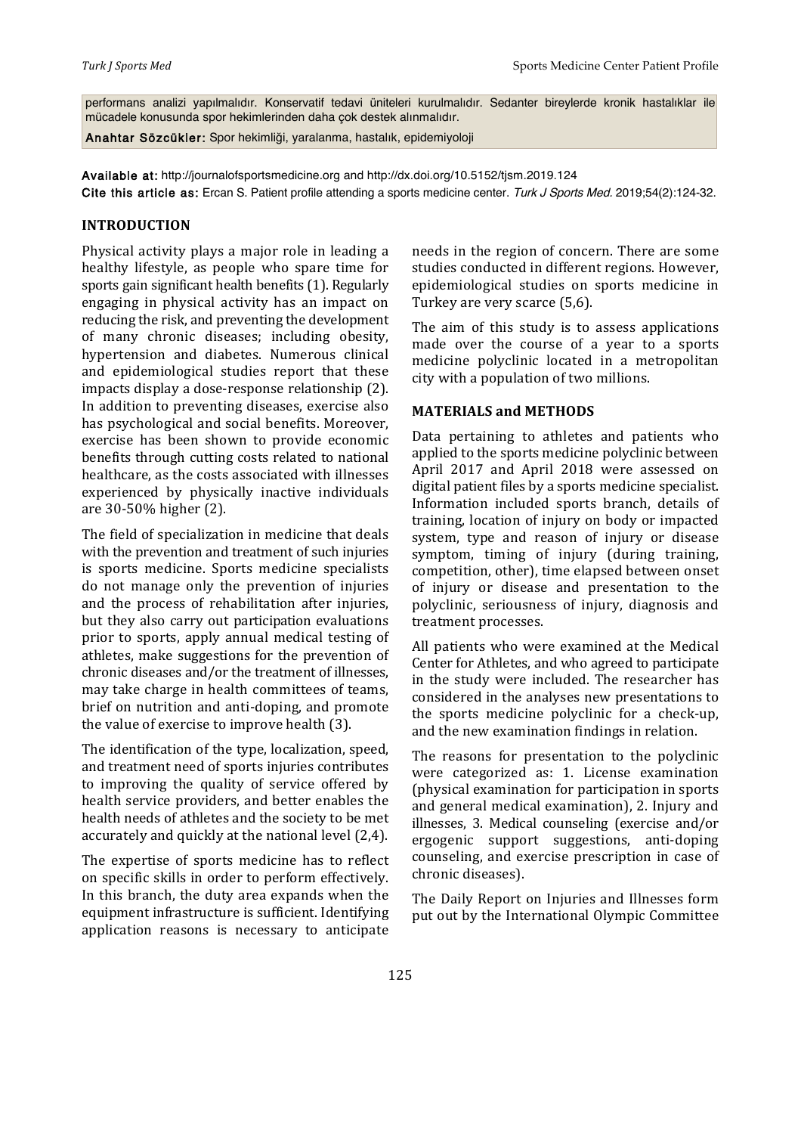performans analizi yapılmalıdır. Konservatif tedavi üniteleri kurulmalıdır. Sedanter bireylerde kronik hastalıklar ile mücadele konusunda spor hekimlerinden daha çok destek alınmalıdır.

Anahtar Sözcükler: Spor hekimliği, yaralanma, hastalık, epidemiyoloji

Available at: http://journalofsportsmedicine.org and http://dx.doi.org/10.5152/tjsm.2019.124 Cite this article as: Ercan S. Patient profile attending a sports medicine center. Turk J Sports Med. 2019;54(2):124-32.

#### **INTRODUCTION**

Physical activity plays a major role in leading a healthy lifestyle, as people who spare time for sports gain significant health benefits (1). Regularly engaging in physical activity has an impact on reducing the risk, and preventing the development of many chronic diseases; including obesity, hypertension and diabetes. Numerous clinical and epidemiological studies report that these impacts display a dose-response relationship (2). In addition to preventing diseases, exercise also has psychological and social benefits. Moreover, exercise has been shown to provide economic benefits through cutting costs related to national healthcare, as the costs associated with illnesses experienced by physically inactive individuals are 30-50% higher (2).

The field of specialization in medicine that deals with the prevention and treatment of such injuries is sports medicine. Sports medicine specialists do not manage only the prevention of injuries and the process of rehabilitation after injuries, but they also carry out participation evaluations prior to sports, apply annual medical testing of athletes, make suggestions for the prevention of chronic diseases and/or the treatment of illnesses. may take charge in health committees of teams, brief on nutrition and anti-doping, and promote the value of exercise to improve health (3).

The identification of the type, localization, speed, and treatment need of sports injuries contributes to improving the quality of service offered by health service providers, and better enables the health needs of athletes and the society to be met accurately and quickly at the national level (2,4).

The expertise of sports medicine has to reflect on specific skills in order to perform effectively. In this branch, the duty area expands when the equipment infrastructure is sufficient. Identifying application reasons is necessary to anticipate

needs in the region of concern. There are some studies conducted in different regions. However, epidemiological studies on sports medicine in Turkey are very scarce (5,6).

The aim of this study is to assess applications made over the course of a year to a sports medicine polyclinic located in a metropolitan city with a population of two millions.

## **MATERIALS and METHODS**

Data pertaining to athletes and patients who applied to the sports medicine polyclinic between April 2017 and April 2018 were assessed on digital patient files by a sports medicine specialist. Information included sports branch, details of training, location of injury on body or impacted system, type and reason of injury or disease symptom, timing of injury (during training, competition, other), time elapsed between onset of injury or disease and presentation to the polyclinic, seriousness of injury, diagnosis and treatment processes.

All patients who were examined at the Medical Center for Athletes, and who agreed to participate in the study were included. The researcher has considered in the analyses new presentations to the sports medicine polyclinic for a check-up, and the new examination findings in relation.

The reasons for presentation to the polyclinic were categorized as: 1. License examination (physical examination for participation in sports and general medical examination), 2. Injury and illnesses, 3. Medical counseling (exercise and/or ergogenic support suggestions, anti-doping counseling, and exercise prescription in case of chronic diseases).

The Daily Report on Injuries and Illnesses form put out by the International Olympic Committee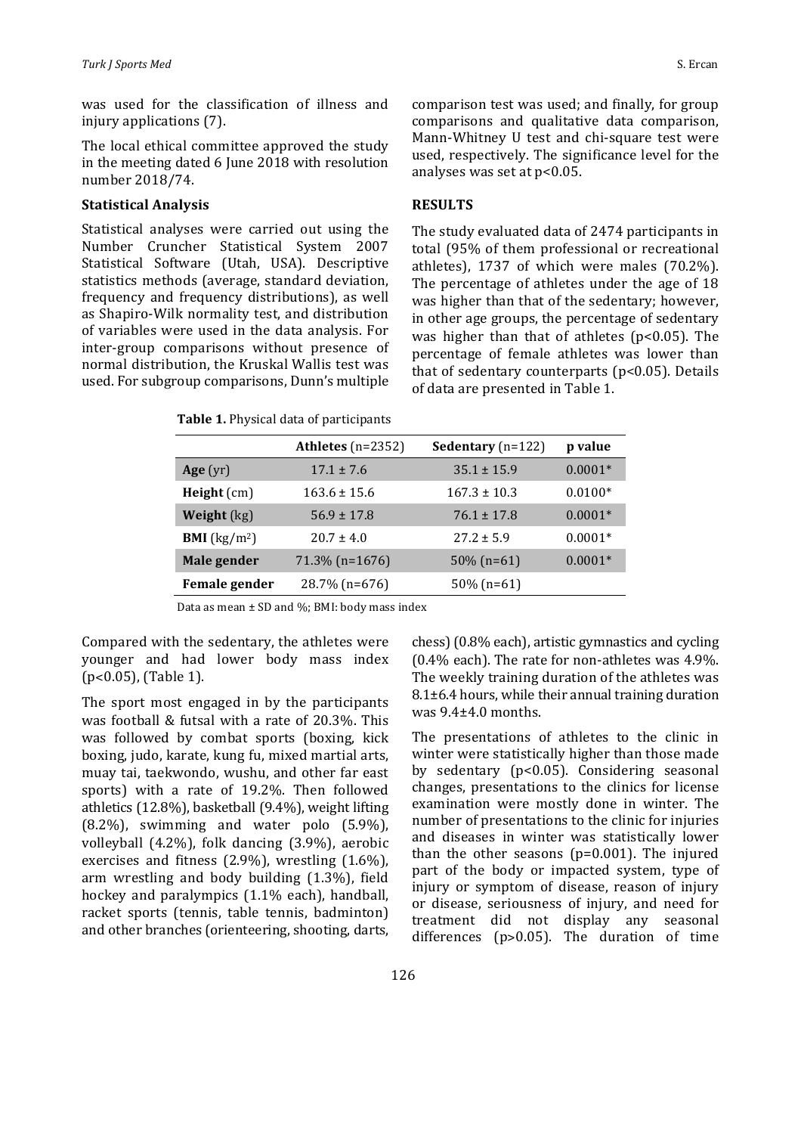was used for the classification of illness and injury applications (7).

The local ethical committee approved the study in the meeting dated 6 June 2018 with resolution number 2018/74. 

#### **Statistical Analysis**

Statistical analyses were carried out using the Number Cruncher Statistical System 2007 Statistical Software (Utah, USA). Descriptive statistics methods (average, standard deviation, frequency and frequency distributions), as well as Shapiro-Wilk normality test, and distribution of variables were used in the data analysis. For inter-group comparisons without presence of normal distribution, the Kruskal Wallis test was used. For subgroup comparisons, Dunn's multiple

comparison test was used; and finally, for group comparisons and qualitative data comparison, Mann-Whitney U test and chi-square test were used, respectively. The significance level for the analyses was set at  $p<0.05$ .

#### **RESULTS**

The study evaluated data of 2474 participants in total (95% of them professional or recreational athletes),  $1737$  of which were males (70.2%). The percentage of athletes under the age of 18 was higher than that of the sedentary; however, in other age groups, the percentage of sedentary was higher than that of athletes  $(p<0.05)$ . The percentage of female athletes was lower than that of sedentary counterparts ( $p$ <0.05). Details of data are presented in Table 1.

|  |  |  |  | Table 1. Physical data of participants |
|--|--|--|--|----------------------------------------|
|--|--|--|--|----------------------------------------|

|                                | Athletes $(n=2352)$ | <b>Sedentary</b> $(n=122)$ | p value   |
|--------------------------------|---------------------|----------------------------|-----------|
| Age $(yr)$                     | $17.1 \pm 7.6$      | $35.1 \pm 15.9$            | $0.0001*$ |
| $Height$ (cm)                  | $163.6 \pm 15.6$    | $167.3 \pm 10.3$           | $0.0100*$ |
| Weight $(kg)$                  | $56.9 \pm 17.8$     | $76.1 \pm 17.8$            | $0.0001*$ |
| <b>BMI</b> ( $\text{kg/m}^2$ ) | $20.7 \pm 4.0$      | $27.2 \pm 5.9$             | $0.0001*$ |
| Male gender                    | $71.3\%$ (n=1676)   | $50\%$ (n=61)              | $0.0001*$ |
| Female gender                  | 28.7% (n=676)       | $50\%$ (n=61)              |           |
|                                |                     |                            |           |

Data as mean  $\pm$  SD and %; BMI: body mass index

Compared with the sedentary, the athletes were younger and had lower body mass index  $(p<0.05)$ , (Table 1).

The sport most engaged in by the participants was football & futsal with a rate of  $20.3\%$ . This was followed by combat sports (boxing, kick boxing, judo, karate, kung fu, mixed martial arts, muay tai, taekwondo, wushu, and other far east sports) with a rate of 19.2%. Then followed athletics  $(12.8\%)$ , basketball  $(9.4\%)$ , weight lifting  $(8.2\%)$ , swimming and water polo  $(5.9\%)$ , volleyball  $(4.2\%)$ , folk dancing  $(3.9\%)$ , aerobic exercises and fitness  $(2.9\%)$ , wrestling  $(1.6\%)$ , arm wrestling and body building (1.3%), field hockey and paralympics  $(1.1\%$  each), handball, racket sports (tennis, table tennis, badminton) and other branches (orienteering, shooting, darts, chess) (0.8% each), artistic gymnastics and cycling  $(0.4\%$  each). The rate for non-athletes was  $4.9\%$ . The weekly training duration of the athletes was  $8.1\pm6.4$  hours, while their annual training duration was  $9.4\pm4.0$  months.

The presentations of athletes to the clinic in winter were statistically higher than those made by sedentary (p<0.05). Considering seasonal changes, presentations to the clinics for license examination were mostly done in winter. The number of presentations to the clinic for injuries and diseases in winter was statistically lower than the other seasons  $(p=0.001)$ . The injured part of the body or impacted system, type of injury or symptom of disease, reason of injury or disease, seriousness of injury, and need for treatment did not display any seasonal differences ( $p$ >0.05). The duration of time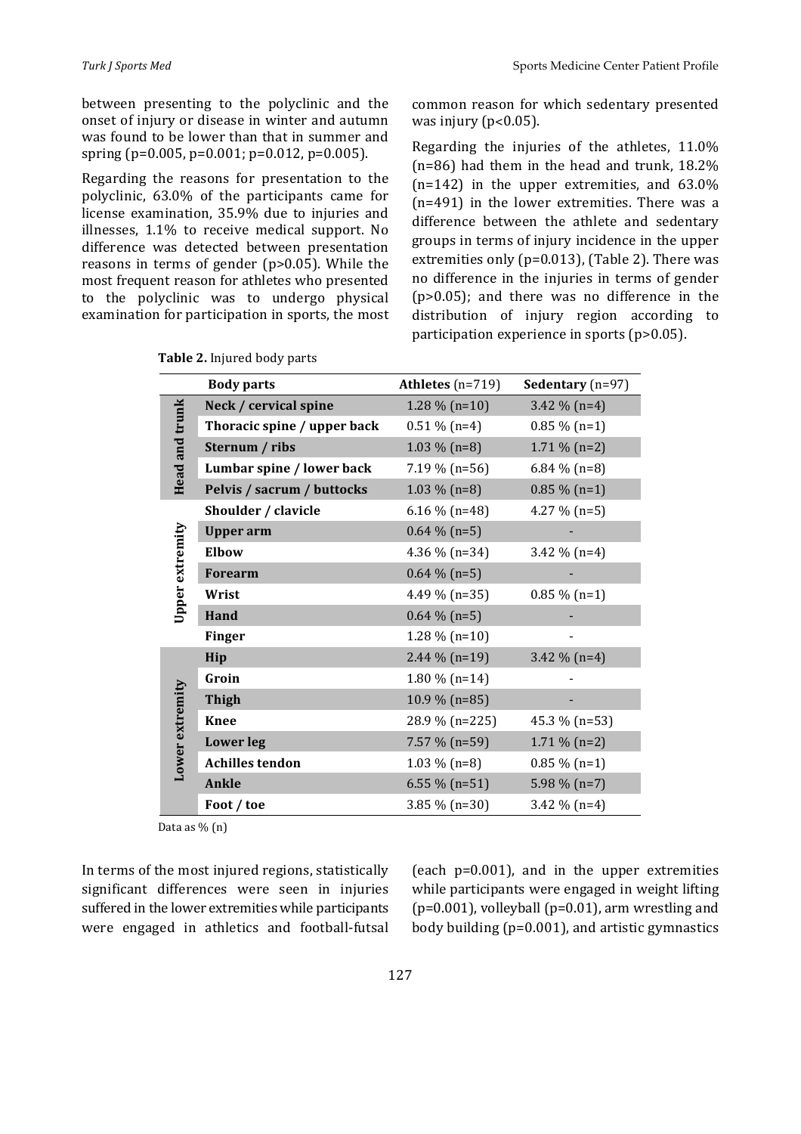between presenting to the polyclinic and the onset of injury or disease in winter and autumn was found to be lower than that in summer and spring (p=0.005, p=0.001; p=0.012, p=0.005).

Regarding the reasons for presentation to the polyclinic, 63.0% of the participants came for license examination, 35.9% due to injuries and illnesses, 1.1% to receive medical support. No difference was detected between presentation reasons in terms of gender  $(p>0.05)$ . While the most frequent reason for athletes who presented to the polyclinic was to undergo physical examination for participation in sports, the most common reason for which sedentary presented was injury ( $p<0.05$ ).

Regarding the injuries of the athletes,  $11.0\%$  $(n=86)$  had them in the head and trunk,  $18.2\%$  $(n=142)$  in the upper extremities, and  $63.0\%$  $(n=491)$  in the lower extremities. There was a difference between the athlete and sedentary groups in terms of injury incidence in the upper extremities only ( $p=0.013$ ), (Table 2). There was no difference in the injuries in terms of gender  $(p>0.05)$ ; and there was no difference in the distribution of injury region according to participation experience in sports  $(p>0.05)$ .

|                 | <b>Body parts</b>           | Athletes $(n=719)$ | <b>Sedentary</b> ( $n=97$ ) |
|-----------------|-----------------------------|--------------------|-----------------------------|
| Head and trunk  | Neck / cervical spine       | $1.28\%$ (n=10)    | 3.42 $\%$ (n=4)             |
|                 | Thoracic spine / upper back | $0.51\%$ (n=4)     | $0.85\%$ (n=1)              |
|                 | Sternum / ribs              | $1.03\%$ (n=8)     | $1.71\%$ (n=2)              |
|                 | Lumbar spine / lower back   | $7.19\%$ (n=56)    | $6.84\%$ (n=8)              |
|                 | Pelvis / sacrum / buttocks  | $1.03\%$ (n=8)     | $0.85\%$ (n=1)              |
| Upper extremity | Shoulder / clavicle         | $6.16\%$ (n=48)    | 4.27 $%$ (n=5)              |
|                 | <b>Upper</b> arm            | $0.64\%$ (n=5)     |                             |
|                 | Elbow                       | 4.36 % $(n=34)$    | 3.42 $%$ (n=4)              |
|                 | <b>Forearm</b>              | $0.64\%$ (n=5)     |                             |
|                 | Wrist                       | 4.49 % $(n=35)$    | $0.85\%$ (n=1)              |
|                 | Hand                        | $0.64\%$ (n=5)     |                             |
|                 | <b>Finger</b>               | $1.28\%$ (n=10)    |                             |
|                 | Hip                         | 2.44 $%$ (n=19)    | 3.42 $\%$ (n=4)             |
|                 | Groin                       | $1.80\%$ (n=14)    |                             |
|                 | <b>Thigh</b>                | 10.9 % (n=85)      |                             |
|                 | <b>Knee</b>                 | 28.9 % (n=225)     | 45.3 % (n=53)               |
| Lower extremity | <b>Lower</b> leg            | $7.57\%$ (n=59)    | $1.71\%$ (n=2)              |
|                 | <b>Achilles tendon</b>      | $1.03\%$ (n=8)     | $0.85\%$ (n=1)              |
|                 | <b>Ankle</b>                | 6.55 % $(n=51)$    | 5.98 $\%$ (n=7)             |
|                 | Foot / toe                  | $3.85\%$ (n=30)    | 3.42 $%$ (n=4)              |

Table 2. Injured body parts

Data as  $\%$  (n)

In terms of the most injured regions, statistically significant differences were seen in injuries suffered in the lower extremities while participants were engaged in athletics and football-futsal (each  $p=0.001$ ), and in the upper extremities while participants were engaged in weight lifting  $(p=0.001)$ , volleyball  $(p=0.01)$ , arm wrestling and body building  $(p=0.001)$ , and artistic gymnastics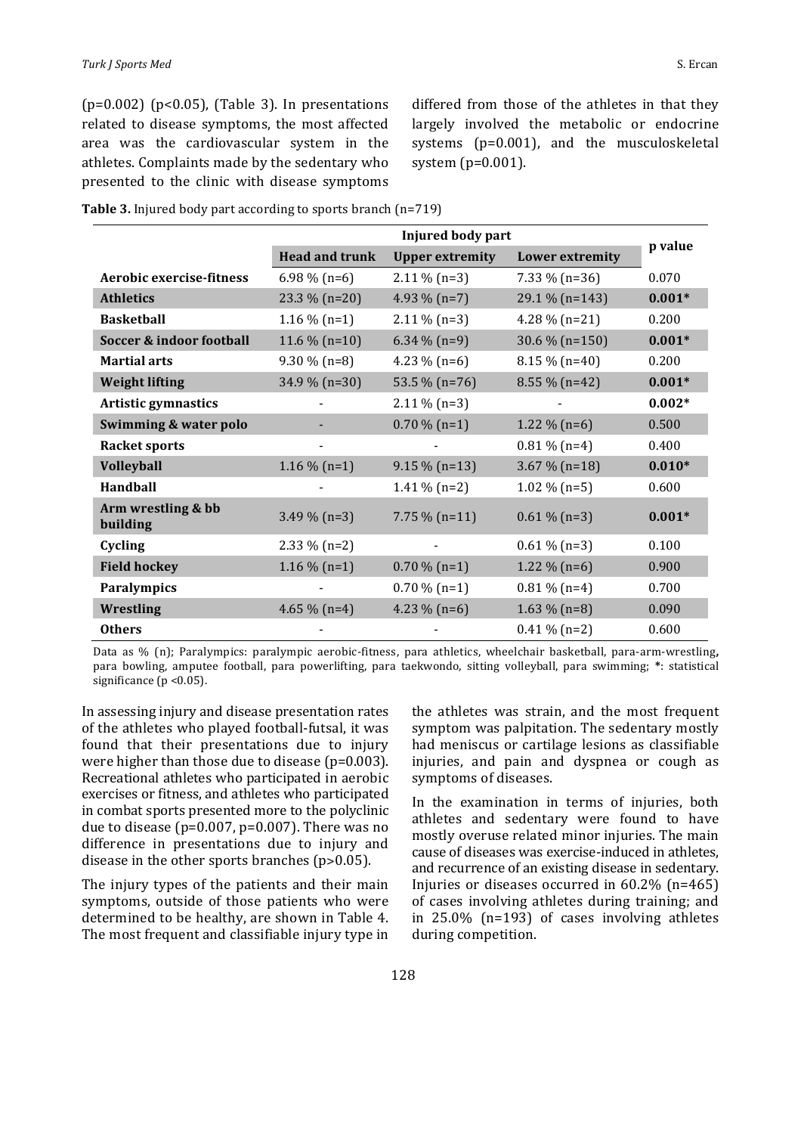$(p=0.002)$   $(p<0.05)$ , (Table 3). In presentations related to disease symptoms, the most affected area was the cardiovascular system in the athletes. Complaints made by the sedentary who presented to the clinic with disease symptoms differed from those of the athletes in that they largely involved the metabolic or endocrine systems  $(p=0.001)$ , and the musculoskeletal system  $(p=0.001)$ .

| Table 3. Injured body part according to sports branch (n=719) |  |  |
|---------------------------------------------------------------|--|--|
|                                                               |  |  |

|                                | Injured body part     |                        |                        | p value  |
|--------------------------------|-----------------------|------------------------|------------------------|----------|
|                                | <b>Head and trunk</b> | <b>Upper extremity</b> | <b>Lower extremity</b> |          |
| Aerobic exercise-fitness       | $6.98\%$ (n=6)        | $2.11\%$ (n=3)         | $7.33\%$ (n=36)        | 0.070    |
| <b>Athletics</b>               | 23.3 % $(n=20)$       | 4.93 $% (n=7)$         | 29.1 % (n=143)         | $0.001*$ |
| <b>Basketball</b>              | $1.16\%$ (n=1)        | $2.11\%$ (n=3)         | 4.28 $%$ (n=21)        | 0.200    |
| Soccer & indoor football       | 11.6 % $(n=10)$       | $6.34\%$ (n=9)         | 30.6 % $(n=150)$       | $0.001*$ |
| <b>Martial arts</b>            | $9.30\%$ (n=8)        | 4.23 $% (n=6)$         | $8.15\%$ (n=40)        | 0.200    |
| <b>Weight lifting</b>          | 34.9 % (n=30)         | 53.5 % (n=76)          | $8.55\%$ (n=42)        | $0.001*$ |
| Artistic gymnastics            |                       | $2.11\%$ (n=3)         |                        | $0.002*$ |
| Swimming & water polo          |                       | $0.70\%$ (n=1)         | $1.22 \%$ (n=6)        | 0.500    |
| <b>Racket sports</b>           |                       |                        | $0.81\%$ (n=4)         | 0.400    |
| <b>Volleyball</b>              | $1.16\%$ (n=1)        | $9.15\%$ (n=13)        | $3.67\%$ (n=18)        | $0.010*$ |
| Handball                       |                       | $1.41\%$ (n=2)         | $1.02\%$ (n=5)         | 0.600    |
| Arm wrestling & bb<br>building | $3.49\%$ (n=3)        | $7.75\%$ (n=11)        | $0.61\%$ (n=3)         | $0.001*$ |
| Cycling                        | $2.33\%$ (n=2)        |                        | $0.61\%$ (n=3)         | 0.100    |
| <b>Field hockey</b>            | $1.16\%$ (n=1)        | $0.70\%$ (n=1)         | $1.22 \%$ (n=6)        | 0.900    |
| <b>Paralympics</b>             |                       | $0.70\%$ (n=1)         | $0.81\%$ (n=4)         | 0.700    |
| Wrestling                      | 4.65 % $(n=4)$        | 4.23 $%$ (n=6)         | $1.63\%$ (n=8)         | 0.090    |
| <b>Others</b>                  |                       |                        | $0.41\%$ (n=2)         | 0.600    |

Data as % (n); Paralympics: paralympic aerobic-fitness, para athletics, wheelchair basketball, para-arm-wrestling, para bowling, amputee football, para powerlifting, para taekwondo, sitting volleyball, para swimming; \*: statistical significance  $(p < 0.05)$ .

In assessing injury and disease presentation rates of the athletes who played football-futsal, it was found that their presentations due to injury were higher than those due to disease  $(p=0.003)$ . Recreational athletes who participated in aerobic exercises or fitness, and athletes who participated in combat sports presented more to the polyclinic due to disease ( $p=0.007$ ,  $p=0.007$ ). There was no difference in presentations due to injury and disease in the other sports branches  $(p>0.05)$ .

The injury types of the patients and their main symptoms, outside of those patients who were determined to be healthy, are shown in Table 4. The most frequent and classifiable injury type in the athletes was strain, and the most frequent symptom was palpitation. The sedentary mostly had meniscus or cartilage lesions as classifiable injuries, and pain and dyspnea or cough as symptoms of diseases.

In the examination in terms of injuries, both athletes and sedentary were found to have mostly overuse related minor injuries. The main cause of diseases was exercise-induced in athletes, and recurrence of an existing disease in sedentary. Injuries or diseases occurred in  $60.2\%$  (n=465) of cases involving athletes during training; and in  $25.0\%$  (n=193) of cases involving athletes during competition.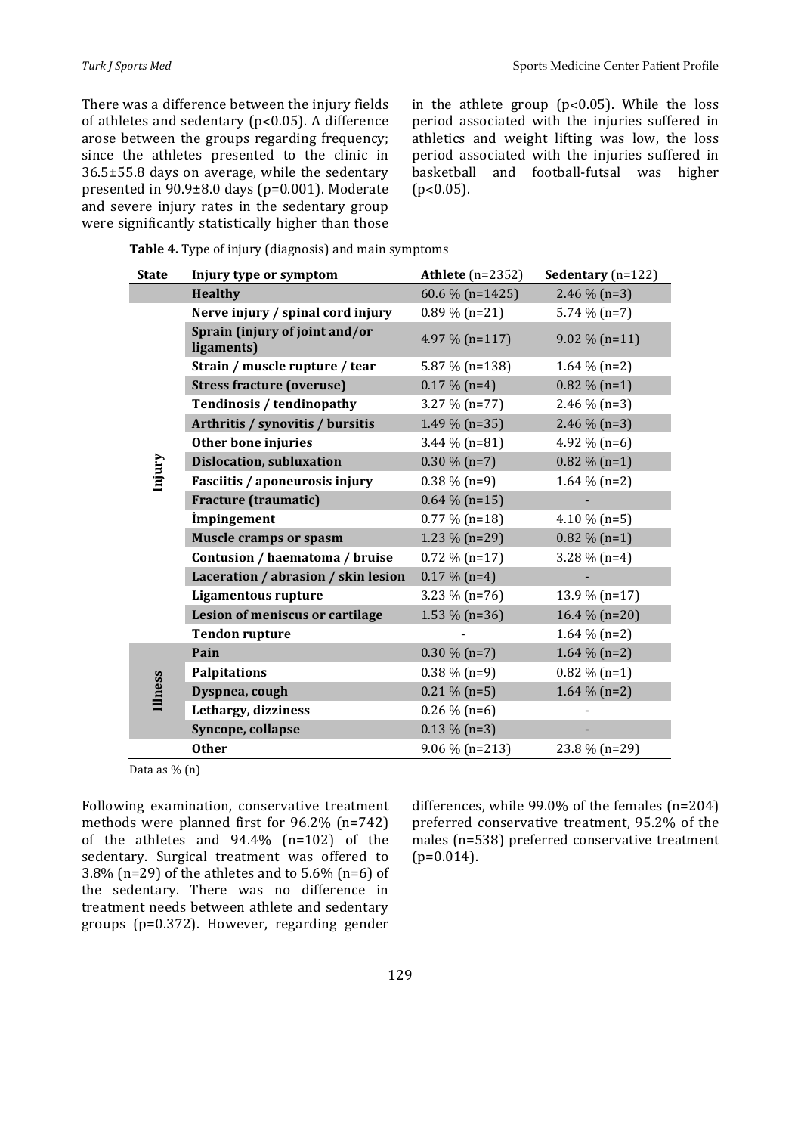There was a difference between the injury fields of athletes and sedentary ( $p < 0.05$ ). A difference arose between the groups regarding frequency; since the athletes presented to the clinic in  $36.5\pm55.8$  days on average, while the sedentary presented in  $90.9\pm8.0$  days (p=0.001). Moderate and severe injury rates in the sedentary group were significantly statistically higher than those in the athlete group ( $p<0.05$ ). While the loss period associated with the injuries suffered in athletics and weight lifting was low, the loss period associated with the injuries suffered in basketball and football-futsal was higher  $(p<0.05)$ .

**Table 4.** Type of injury (diagnosis) and main symptoms

| <b>State</b> | Injury type or symptom                       | Athlete $(n=2352)$ | Sedentary $(n=122)$ |
|--------------|----------------------------------------------|--------------------|---------------------|
|              | <b>Healthy</b>                               | 60.6 % $(n=1425)$  | 2.46 $\%$ (n=3)     |
|              | Nerve injury / spinal cord injury            | $0.89\%$ (n=21)    | $5.74\%$ (n=7)      |
|              | Sprain (injury of joint and/or<br>ligaments) | 4.97 % $(n=117)$   | $9.02\%$ (n=11)     |
|              | Strain / muscle rupture / tear               | 5.87 % $(n=138)$   | $1.64\%$ (n=2)      |
|              | <b>Stress fracture (overuse)</b>             | $0.17 \%$ (n=4)    | $0.82 \%$ (n=1)     |
|              | Tendinosis / tendinopathy                    | $3.27 \%$ (n=77)   | 2.46 $\%$ (n=3)     |
|              | Arthritis / synovitis / bursitis             | 1.49 % $(n=35)$    | 2.46 $\%$ (n=3)     |
|              | Other bone injuries                          | 3.44 $%$ (n=81)    | 4.92 % $(n=6)$      |
| Injury       | <b>Dislocation, subluxation</b>              | $0.30\%$ (n=7)     | $0.82 \%$ (n=1)     |
|              | Fasciitis / aponeurosis injury               | $0.38\%$ (n=9)     | $1.64\%$ (n=2)      |
|              | <b>Fracture (traumatic)</b>                  | $0.64\%$ (n=15)    |                     |
|              | <i>impingement</i>                           | $0.77\%$ (n=18)    | 4.10 $\%$ (n=5)     |
|              | <b>Muscle cramps or spasm</b>                | 1.23 % $(n=29)$    | $0.82 \%$ (n=1)     |
|              | Contusion / haematoma / bruise               | $0.72\%$ (n=17)    | $3.28\%$ (n=4)      |
|              | Laceration / abrasion / skin lesion          | $0.17 \%$ (n=4)    |                     |
|              | <b>Ligamentous rupture</b>                   | 3.23 % $(n=76)$    | 13.9 % (n=17)       |
|              | Lesion of meniscus or cartilage              | 1.53 % $(n=36)$    | 16.4 % (n=20)       |
|              | <b>Tendon rupture</b>                        |                    | $1.64\%$ (n=2)      |
|              | Pain                                         | $0.30\%$ (n=7)     | 1.64 $%$ (n=2)      |
| lllness      | <b>Palpitations</b>                          | $0.38\%$ (n=9)     | $0.82 \%$ (n=1)     |
|              | Dyspnea, cough                               | $0.21\%$ (n=5)     | 1.64 $\%$ (n=2)     |
|              | Lethargy, dizziness                          | $0.26\%$ (n=6)     |                     |
|              | Syncope, collapse                            | $0.13 \%$ (n=3)    |                     |
|              | <b>Other</b>                                 | $9.06\%$ (n=213)   | 23.8 % (n=29)       |

Data as  $\%$  (n)

Following examination, conservative treatment methods were planned first for  $96.2\%$  (n=742) of the athletes and  $94.4\%$  (n=102) of the sedentary. Surgical treatment was offered to 3.8% (n=29) of the athletes and to  $5.6\%$  (n=6) of the sedentary. There was no difference in treatment needs between athlete and sedentary groups (p=0.372). However, regarding gender

differences, while  $99.0\%$  of the females  $(n=204)$ preferred conservative treatment, 95.2% of the males (n=538) preferred conservative treatment  $(p=0.014)$ .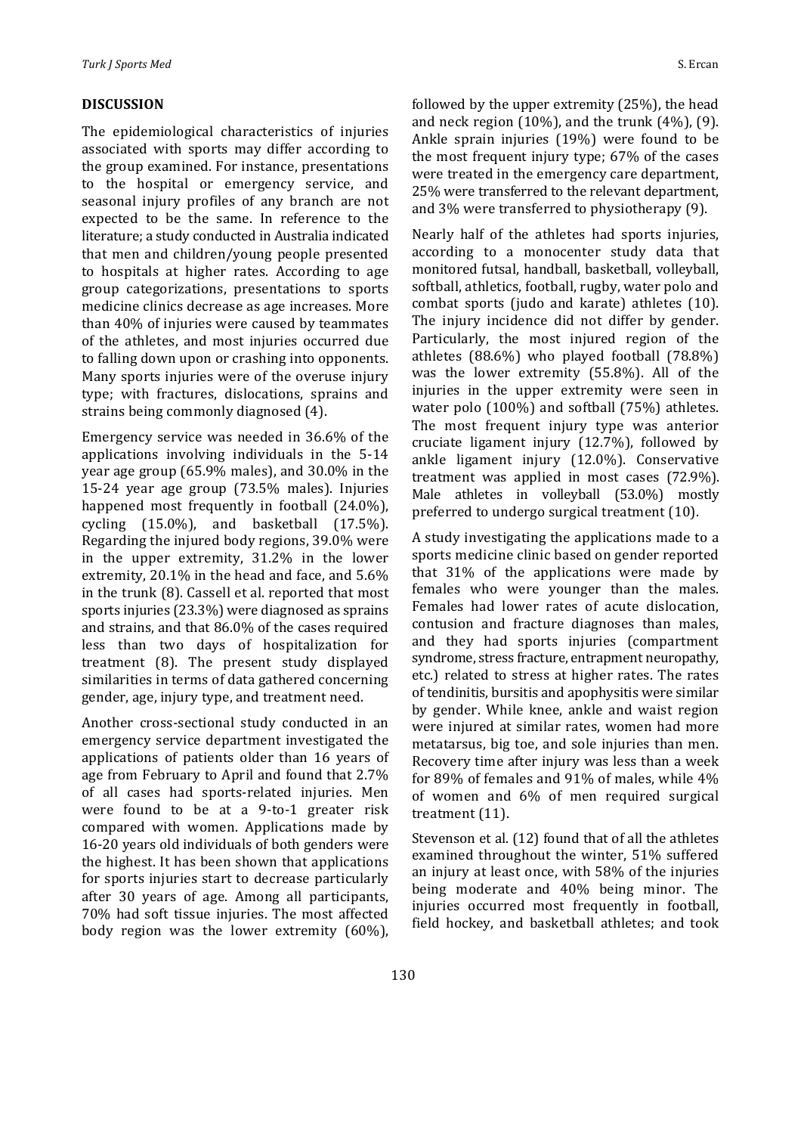### **DISCUSSION**

The epidemiological characteristics of injuries associated with sports may differ according to the group examined. For instance, presentations to the hospital or emergency service, and seasonal injury profiles of any branch are not expected to be the same. In reference to the literature; a study conducted in Australia indicated that men and children/young people presented to hospitals at higher rates. According to age group categorizations, presentations to sports medicine clinics decrease as age increases. More than 40% of injuries were caused by teammates of the athletes, and most injuries occurred due to falling down upon or crashing into opponents. Many sports injuries were of the overuse injury type; with fractures, dislocations, sprains and strains being commonly diagnosed (4).

Emergency service was needed in  $36.6\%$  of the applications involving individuals in the  $5-14$ year age group  $(65.9\%$  males), and  $30.0\%$  in the 15-24 year age group (73.5% males). Injuries happened most frequently in football (24.0%), cycling  $(15.0\%)$ , and basketball  $(17.5\%)$ . Regarding the injured body regions, 39.0% were in the upper extremity,  $31.2\%$  in the lower extremity,  $20.1\%$  in the head and face, and  $5.6\%$ in the trunk (8). Cassell et al. reported that most sports injuries (23.3%) were diagnosed as sprains and strains, and that 86.0% of the cases required less than two days of hospitalization for treatment (8). The present study displayed similarities in terms of data gathered concerning gender, age, injury type, and treatment need.

Another cross-sectional study conducted in an emergency service department investigated the applications of patients older than 16 years of age from February to April and found that 2.7% of all cases had sports-related injuries. Men were found to be at a  $9$ -to-1 greater risk compared with women. Applications made by 16-20 years old individuals of both genders were the highest. It has been shown that applications for sports injuries start to decrease particularly after 30 years of age. Among all participants, 70% had soft tissue injuries. The most affected body region was the lower extremity  $(60\%)$ ,

followed by the upper extremity  $(25%)$ , the head and neck region  $(10\%)$ , and the trunk  $(4\%)$ ,  $(9)$ . Ankle sprain injuries  $(19%)$  were found to be the most frequent injury type;  $67\%$  of the cases were treated in the emergency care department, 25% were transferred to the relevant department, and  $3\%$  were transferred to physiotherapy  $(9)$ .

Nearly half of the athletes had sports injuries, according to a monocenter study data that monitored futsal, handball, basketball, volleyball, softball, athletics, football, rugby, water polo and combat sports (judo and karate) athletes (10). The injury incidence did not differ by gender. Particularly, the most injured region of the athletes  $(88.6\%)$  who played football  $(78.8\%)$ was the lower extremity  $(55.8\%)$ . All of the injuries in the upper extremity were seen in water polo  $(100\%)$  and softball  $(75\%)$  athletes. The most frequent injury type was anterior cruciate ligament injury  $(12.7%)$ , followed by ankle ligament injury  $(12.0\%)$ . Conservative treatment was applied in most cases  $(72.9\%)$ . Male athletes in volleyball (53.0%) mostly preferred to undergo surgical treatment (10).

A study investigating the applications made to a sports medicine clinic based on gender reported that  $31\%$  of the applications were made by females who were younger than the males. Females had lower rates of acute dislocation, contusion and fracture diagnoses than males, and they had sports injuries (compartment syndrome, stress fracture, entrapment neuropathy, etc.) related to stress at higher rates. The rates of tendinitis, bursitis and apophysitis were similar by gender. While knee, ankle and waist region were injured at similar rates, women had more metatarsus, big toe, and sole injuries than men. Recovery time after injury was less than a week for 89% of females and 91% of males, while  $4\%$ of women and 6% of men required surgical treatment  $(11)$ .

Stevenson et al. (12) found that of all the athletes examined throughout the winter, 51% suffered an injury at least once, with 58% of the injuries being moderate and 40% being minor. The injuries occurred most frequently in football, field hockey, and basketball athletes; and took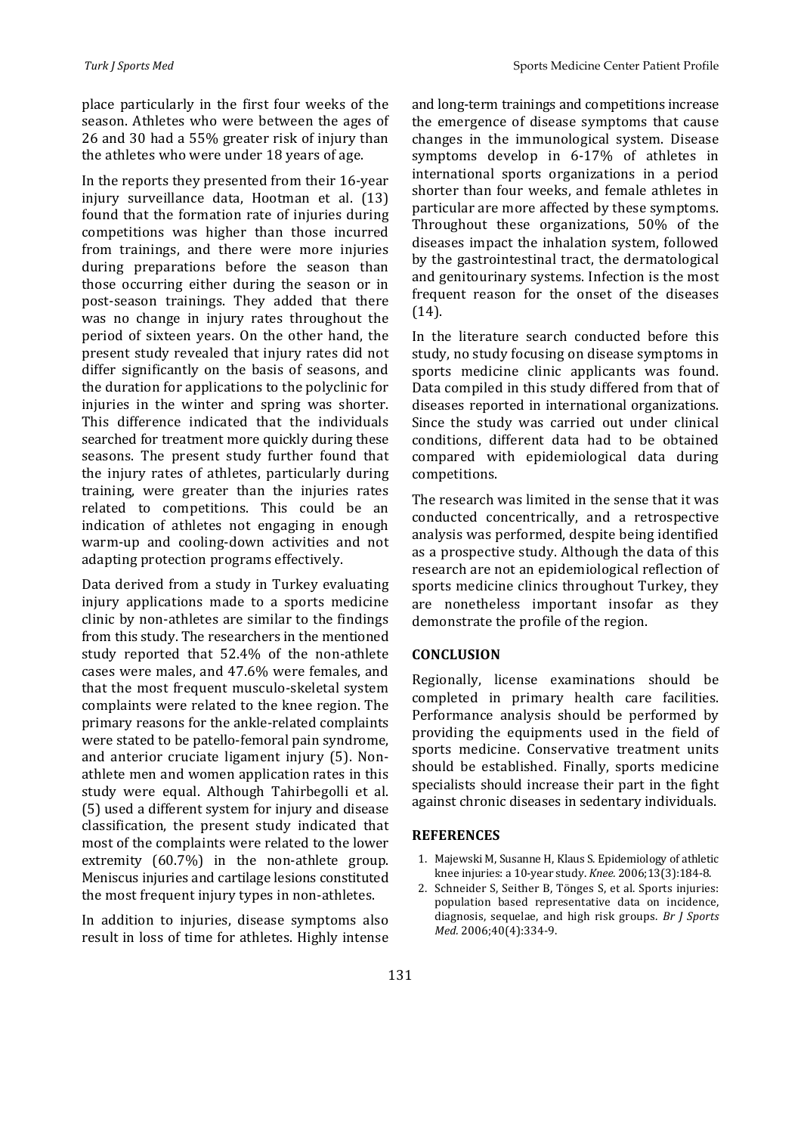place particularly in the first four weeks of the season. Athletes who were between the ages of 26 and 30 had a 55% greater risk of injury than the athletes who were under 18 years of age.

In the reports they presented from their 16-year injury surveillance data, Hootman et al. (13) found that the formation rate of injuries during competitions was higher than those incurred from trainings, and there were more injuries during preparations before the season than those occurring either during the season or in post-season trainings. They added that there was no change in injury rates throughout the period of sixteen years. On the other hand, the present study revealed that injury rates did not differ significantly on the basis of seasons, and the duration for applications to the polyclinic for injuries in the winter and spring was shorter. This difference indicated that the individuals searched for treatment more quickly during these seasons. The present study further found that the injury rates of athletes, particularly during training, were greater than the injuries rates related to competitions. This could be an indication of athletes not engaging in enough warm-up and cooling-down activities and not adapting protection programs effectively.

Data derived from a study in Turkey evaluating injury applications made to a sports medicine clinic by non-athletes are similar to the findings from this study. The researchers in the mentioned study reported that 52.4% of the non-athlete cases were males, and 47.6% were females, and that the most frequent musculo-skeletal system complaints were related to the knee region. The primary reasons for the ankle-related complaints were stated to be patello-femoral pain syndrome, and anterior cruciate ligament injury (5). Nonathlete men and women application rates in this study were equal. Although Tahirbegolli et al. (5) used a different system for injury and disease classification, the present study indicated that most of the complaints were related to the lower extremity  $(60.7%)$  in the non-athlete group. Meniscus injuries and cartilage lesions constituted the most frequent injury types in non-athletes.

In addition to injuries, disease symptoms also result in loss of time for athletes. Highly intense and long-term trainings and competitions increase the emergence of disease symptoms that cause changes in the immunological system. Disease symptoms develop in  $6-17\%$  of athletes in international sports organizations in a period shorter than four weeks, and female athletes in particular are more affected by these symptoms. Throughout these organizations,  $50\%$  of the diseases impact the inhalation system, followed by the gastrointestinal tract, the dermatological and genitourinary systems. Infection is the most frequent reason for the onset of the diseases (14).

In the literature search conducted before this study, no study focusing on disease symptoms in sports medicine clinic applicants was found. Data compiled in this study differed from that of diseases reported in international organizations. Since the study was carried out under clinical conditions, different data had to be obtained compared with epidemiological data during competitions.

The research was limited in the sense that it was conducted concentrically, and a retrospective analysis was performed, despite being identified as a prospective study. Although the data of this research are not an epidemiological reflection of sports medicine clinics throughout Turkey, they are nonetheless important insofar as they demonstrate the profile of the region.

#### **CONCLUSION**

Regionally, license examinations should be completed in primary health care facilities. Performance analysis should be performed by providing the equipments used in the field of sports medicine. Conservative treatment units should be established. Finally, sports medicine specialists should increase their part in the fight against chronic diseases in sedentary individuals.

#### **REFERENCES**

- 1. Majewski M, Susanne H, Klaus S. Epidemiology of athletic knee injuries: a 10-year study. *Knee.* 2006;13(3):184-8.
- 2. Schneider S, Seither B, Tönges S, et al. Sports injuries: population based representative data on incidence, diagnosis, sequelae, and high risk groups. *Br J Sports Med.* 2006;40(4):334-9.